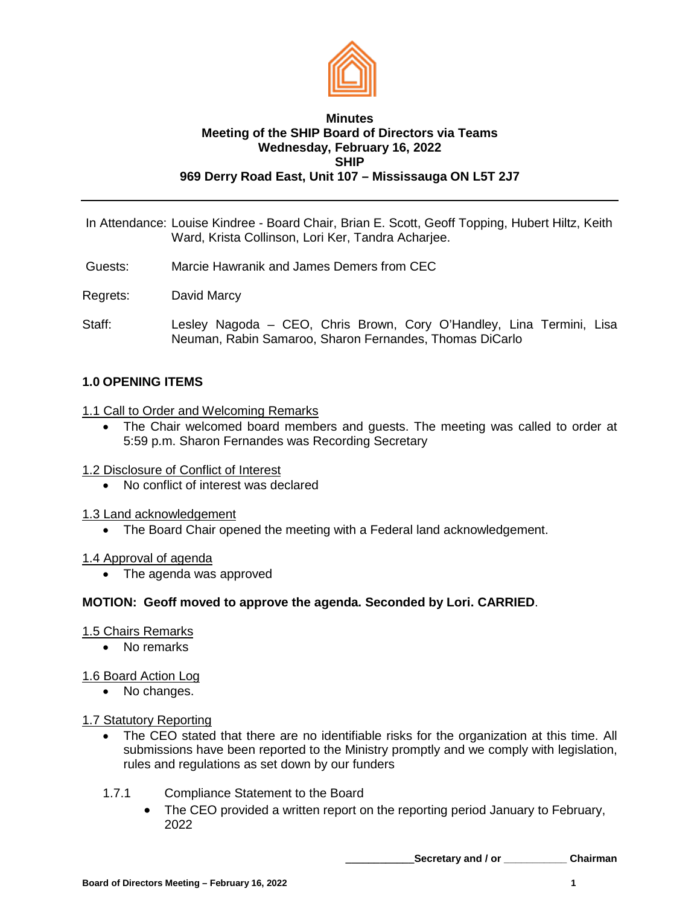

### **Minutes Meeting of the SHIP Board of Directors via Teams Wednesday, February 16, 2022 SHIP 969 Derry Road East, Unit 107 – Mississauga ON L5T 2J7**

- In Attendance: Louise Kindree Board Chair, Brian E. Scott, Geoff Topping, Hubert Hiltz, Keith Ward, Krista Collinson, Lori Ker, Tandra Acharjee.
- Guests: Marcie Hawranik and James Demers from CEC
- Regrets: David Marcy
- Staff: Lesley Nagoda CEO, Chris Brown, Cory O'Handley, Lina Termini, Lisa Neuman, Rabin Samaroo, Sharon Fernandes, Thomas DiCarlo

# **1.0 OPENING ITEMS**

#### 1.1 Call to Order and Welcoming Remarks

- The Chair welcomed board members and guests. The meeting was called to order at 5:59 p.m. Sharon Fernandes was Recording Secretary
- 1.2 Disclosure of Conflict of Interest
	- No conflict of interest was declared
- 1.3 Land acknowledgement
	- The Board Chair opened the meeting with a Federal land acknowledgement.

#### 1.4 Approval of agenda

• The agenda was approved

# **MOTION: Geoff moved to approve the agenda. Seconded by Lori. CARRIED**.

#### 1.5 Chairs Remarks

• No remarks

# 1.6 Board Action Log

• No changes.

#### 1.7 Statutory Reporting

- The CEO stated that there are no identifiable risks for the organization at this time. All submissions have been reported to the Ministry promptly and we comply with legislation, rules and regulations as set down by our funders
- 1.7.1 Compliance Statement to the Board
	- The CEO provided a written report on the reporting period January to February, 2022

**\_\_\_\_\_\_\_\_\_\_\_\_Secretary and / or \_\_\_\_\_\_\_\_\_\_\_ Chairman**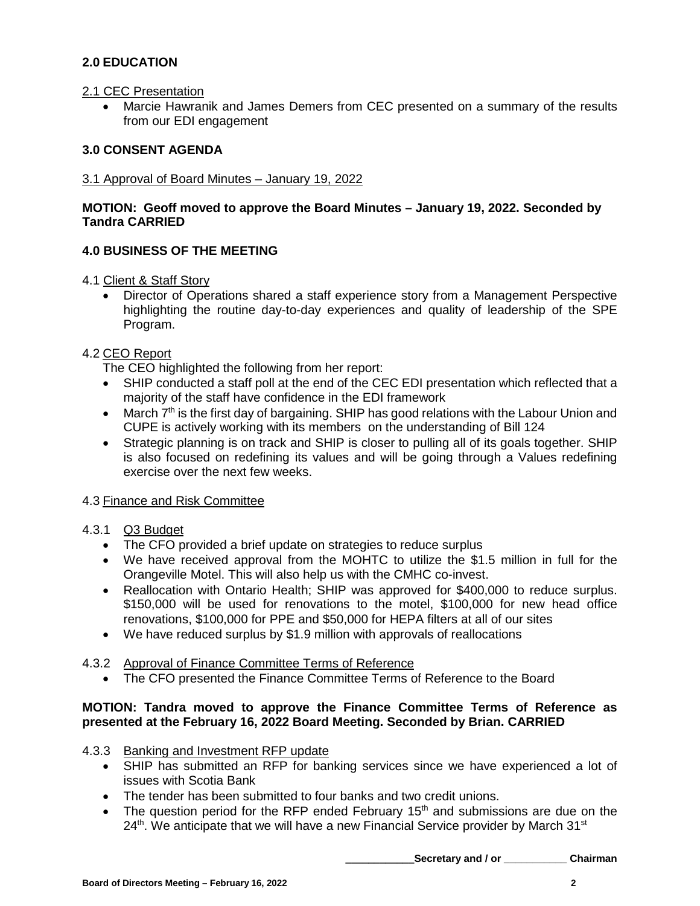# **2.0 EDUCATION**

#### 2.1 CEC Presentation

• Marcie Hawranik and James Demers from CEC presented on a summary of the results from our EDI engagement

# **3.0 CONSENT AGENDA**

## 3.1 Approval of Board Minutes – January 19, 2022

## **MOTION: Geoff moved to approve the Board Minutes – January 19, 2022. Seconded by Tandra CARRIED**

# **4.0 BUSINESS OF THE MEETING**

4.1 Client & Staff Story

• Director of Operations shared a staff experience story from a Management Perspective highlighting the routine day-to-day experiences and quality of leadership of the SPE Program.

### 4.2 CEO Report

The CEO highlighted the following from her report:

- SHIP conducted a staff poll at the end of the CEC EDI presentation which reflected that a majority of the staff have confidence in the EDI framework
- March  $7<sup>th</sup>$  is the first day of bargaining. SHIP has good relations with the Labour Union and CUPE is actively working with its members on the understanding of Bill 124
- Strategic planning is on track and SHIP is closer to pulling all of its goals together. SHIP is also focused on redefining its values and will be going through a Values redefining exercise over the next few weeks.

# 4.3 Finance and Risk Committee

# 4.3.1 Q3 Budget

- The CFO provided a brief update on strategies to reduce surplus
- We have received approval from the MOHTC to utilize the \$1.5 million in full for the Orangeville Motel. This will also help us with the CMHC co-invest.
- Reallocation with Ontario Health; SHIP was approved for \$400,000 to reduce surplus. \$150,000 will be used for renovations to the motel, \$100,000 for new head office renovations, \$100,000 for PPE and \$50,000 for HEPA filters at all of our sites
- We have reduced surplus by \$1.9 million with approvals of reallocations

# 4.3.2 Approval of Finance Committee Terms of Reference

• The CFO presented the Finance Committee Terms of Reference to the Board

# **MOTION: Tandra moved to approve the Finance Committee Terms of Reference as presented at the February 16, 2022 Board Meeting. Seconded by Brian. CARRIED**

- 4.3.3 Banking and Investment RFP update
	- SHIP has submitted an RFP for banking services since we have experienced a lot of issues with Scotia Bank
	- The tender has been submitted to four banks and two credit unions.
	- The question period for the RFP ended February 15<sup>th</sup> and submissions are due on the  $24<sup>th</sup>$ . We anticipate that we will have a new Financial Service provider by March 31 $st$

**\_\_\_\_\_\_\_\_\_\_\_\_Secretary and / or \_\_\_\_\_\_\_\_\_\_\_ Chairman**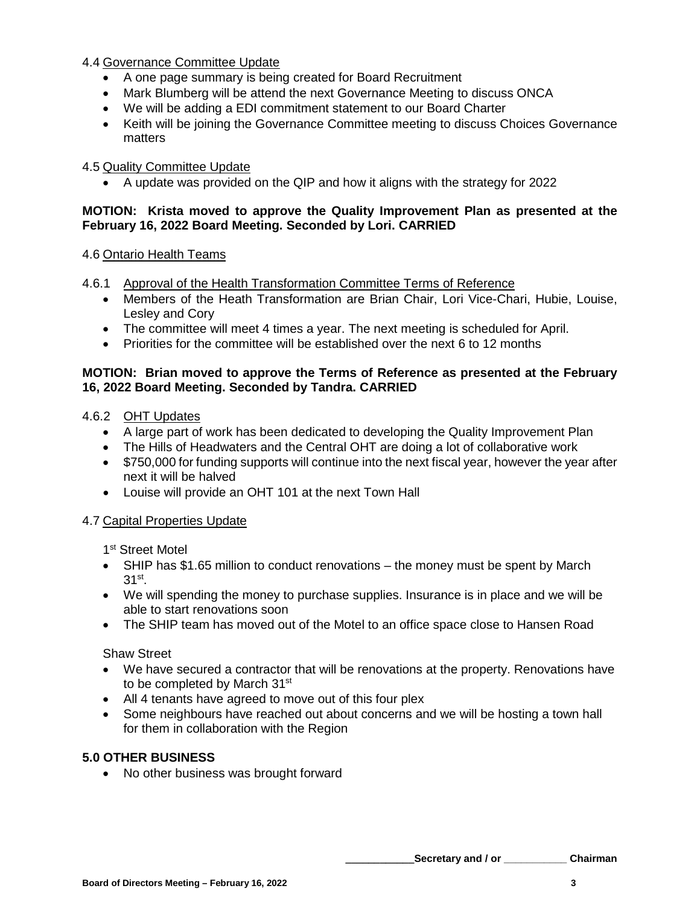4.4 Governance Committee Update

- A one page summary is being created for Board Recruitment
- Mark Blumberg will be attend the next Governance Meeting to discuss ONCA
- We will be adding a EDI commitment statement to our Board Charter
- Keith will be joining the Governance Committee meeting to discuss Choices Governance matters

## 4.5 Quality Committee Update

• A update was provided on the QIP and how it aligns with the strategy for 2022

## **MOTION: Krista moved to approve the Quality Improvement Plan as presented at the February 16, 2022 Board Meeting. Seconded by Lori. CARRIED**

### 4.6 Ontario Health Teams

- 4.6.1 Approval of the Health Transformation Committee Terms of Reference
	- Members of the Heath Transformation are Brian Chair, Lori Vice-Chari, Hubie, Louise, Lesley and Cory
	- The committee will meet 4 times a year. The next meeting is scheduled for April.
	- Priorities for the committee will be established over the next 6 to 12 months

#### **MOTION: Brian moved to approve the Terms of Reference as presented at the February 16, 2022 Board Meeting. Seconded by Tandra. CARRIED**

## 4.6.2 OHT Updates

- A large part of work has been dedicated to developing the Quality Improvement Plan
- The Hills of Headwaters and the Central OHT are doing a lot of collaborative work
- \$750,000 for funding supports will continue into the next fiscal year, however the year after next it will be halved
- Louise will provide an OHT 101 at the next Town Hall

# 4.7 Capital Properties Update

1<sup>st</sup> Street Motel

- SHIP has \$1.65 million to conduct renovations the money must be spent by March 31st.
- We will spending the money to purchase supplies. Insurance is in place and we will be able to start renovations soon
- The SHIP team has moved out of the Motel to an office space close to Hansen Road

#### Shaw Street

- We have secured a contractor that will be renovations at the property. Renovations have to be completed by March 31<sup>st</sup>
- All 4 tenants have agreed to move out of this four plex
- Some neighbours have reached out about concerns and we will be hosting a town hall for them in collaboration with the Region

#### **5.0 OTHER BUSINESS**

• No other business was brought forward